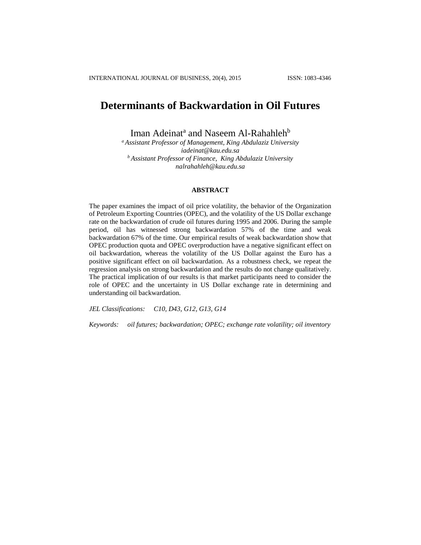# **Determinants of Backwardation in Oil Futures**

Iman Adeinat<sup>a</sup> and Naseem Al-Rahahleh<sup>b</sup>

*<sup>a</sup> Assistant Professor of Management, King Abdulaziz University iadeinat@kau.edu.sa <sup>b</sup> Assistant Professor of Finance, King Abdulaziz University nalrahahleh@kau.edu.sa*

#### **ABSTRACT**

The paper examines the impact of oil price volatility, the behavior of the Organization of Petroleum Exporting Countries (OPEC), and the volatility of the US Dollar exchange rate on the backwardation of crude oil futures during 1995 and 2006. During the sample period, oil has witnessed strong backwardation 57% of the time and weak backwardation 67% of the time. Our empirical results of weak backwardation show that OPEC production quota and OPEC overproduction have a negative significant effect on oil backwardation, whereas the volatility of the US Dollar against the Euro has a positive significant effect on oil backwardation. As a robustness check, we repeat the regression analysis on strong backwardation and the results do not change qualitatively. The practical implication of our results is that market participants need to consider the role of OPEC and the uncertainty in US Dollar exchange rate in determining and understanding oil backwardation.

*JEL Classifications: C10, D43, G12, G13, G14*

*Keywords: oil futures; backwardation; OPEC; exchange rate volatility; oil inventory*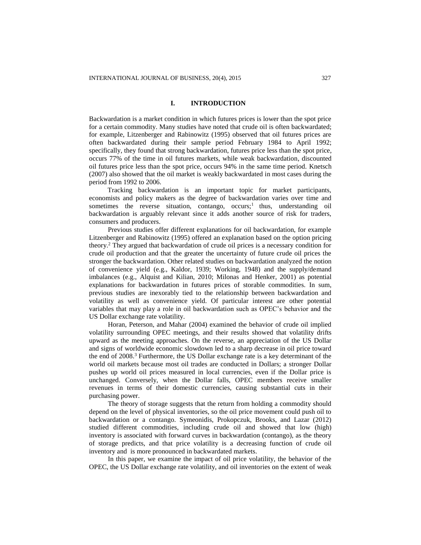## **I. INTRODUCTION**

Backwardation is a market condition in which futures prices is lower than the spot price for a certain commodity. Many studies have noted that crude oil is often backwardated; for example, Litzenberger and Rabinowitz (1995) observed that oil futures prices are often backwardated during their sample period February 1984 to April 1992; specifically, they found that strong backwardation, futures price less than the spot price, occurs 77% of the time in oil futures markets, while weak backwardation, discounted oil futures price less than the spot price, occurs 94% in the same time period. Knetsch (2007) also showed that the oil market is weakly backwardated in most cases during the period from 1992 to 2006.

Tracking backwardation is an important topic for market participants, economists and policy makers as the degree of backwardation varies over time and sometimes the reverse situation, contango, occurs;<sup>1</sup> thus, understanding oil backwardation is arguably relevant since it adds another source of risk for traders, consumers and producers.

Previous studies offer different explanations for oil backwardation, for example Litzenberger and Rabinowitz (1995) offered an explanation based on the option pricing theory.<sup>2</sup> They argued that backwardation of crude oil prices is a necessary condition for crude oil production and that the greater the uncertainty of future crude oil prices the stronger the backwardation. Other related studies on backwardation analyzed the notion of convenience yield (e.g., Kaldor, 1939; Working, 1948) and the supply/demand imbalances (e.g., Alquist and Kilian, 2010; Milonas and Henker, 2001) as potential explanations for backwardation in futures prices of storable commodities. In sum, previous studies are inexorably tied to the relationship between backwardation and volatility as well as convenience yield. Of particular interest are other potential variables that may play a role in oil backwardation such as OPEC's behavior and the US Dollar exchange rate volatility.

Horan, Peterson, and Mahar (2004) examined the behavior of crude oil implied volatility surrounding OPEC meetings, and their results showed that volatility drifts upward as the meeting approaches. On the reverse, an appreciation of the US Dollar and signs of worldwide economic slowdown led to a sharp decrease in oil price toward the end of 2008.<sup>3</sup> Furthermore, the US Dollar exchange rate is a key determinant of the world oil markets because most oil trades are conducted in Dollars; a stronger Dollar pushes up world oil prices measured in local currencies, even if the Dollar price is unchanged. Conversely, when the Dollar falls, OPEC members receive smaller revenues in terms of their domestic currencies, causing substantial cuts in their purchasing power.

The theory of storage suggests that the return from holding a commodity should depend on the level of physical inventories, so the oil price movement could push oil to backwardation or a contango. Symeonidis, Prokopczuk, Brooks, and Lazar (2012) studied different commodities, including crude oil and showed that low (high) inventory is associated with forward curves in backwardation (contango), as the theory of storage predicts, and that price volatility is a decreasing function of crude oil inventory and is more pronounced in backwardated markets.

In this paper, we examine the impact of oil price volatility, the behavior of the OPEC, the US Dollar exchange rate volatility, and oil inventories on the extent of weak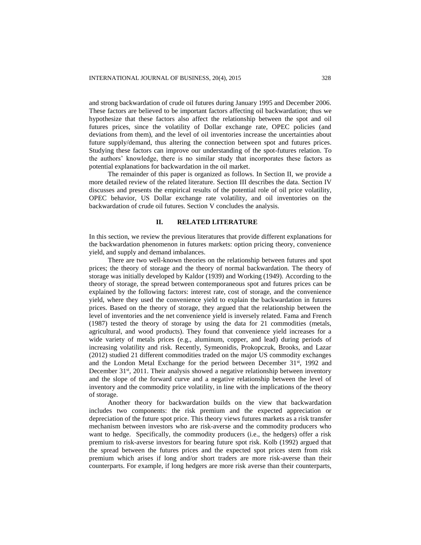and strong backwardation of crude oil futures during January 1995 and December 2006. These factors are believed to be important factors affecting oil backwardation; thus we hypothesize that these factors also affect the relationship between the spot and oil futures prices, since the volatility of Dollar exchange rate, OPEC policies (and deviations from them), and the level of oil inventories increase the uncertainties about future supply/demand, thus altering the connection between spot and futures prices. Studying these factors can improve our understanding of the spot-futures relation. To the authors' knowledge, there is no similar study that incorporates these factors as potential explanations for backwardation in the oil market.

The remainder of this paper is organized as follows. In Section II, we provide a more detailed review of the related literature. Section III describes the data. Section IV discusses and presents the empirical results of the potential role of oil price volatility, OPEC behavior, US Dollar exchange rate volatility, and oil inventories on the backwardation of crude oil futures. Section V concludes the analysis.

#### **II. RELATED LITERATURE**

In this section, we review the previous literatures that provide different explanations for the backwardation phenomenon in futures markets: option pricing theory, convenience yield, and supply and demand imbalances.

There are two well-known theories on the relationship between futures and spot prices; the theory of storage and the theory of normal backwardation. The theory of storage was initially developed by Kaldor (1939) and Working (1949). According to the theory of storage, the spread between contemporaneous spot and futures prices can be explained by the following factors: interest rate, cost of storage, and the convenience yield, where they used the convenience yield to explain the backwardation in futures prices. Based on the theory of storage, they argued that the relationship between the level of inventories and the net convenience yield is inversely related. Fama and French (1987) tested the theory of storage by using the data for 21 commodities (metals, agricultural, and wood products). They found that convenience yield increases for a wide variety of metals prices (e.g., aluminum, copper, and lead) during periods of increasing volatility and risk. Recently, Symeonidis, Prokopczuk, Brooks, and Lazar (2012) studied 21 different commodities traded on the major US commodity exchanges and the London Metal Exchange for the period between December  $31<sup>st</sup>$ , 1992 and December 31<sup>st</sup>, 2011. Their analysis showed a negative relationship between inventory and the slope of the forward curve and a negative relationship between the level of inventory and the commodity price volatility, in line with the implications of the theory of storage.

Another theory for backwardation builds on the view that backwardation includes two components: the risk premium and the expected appreciation or depreciation of the future spot price. This theory views futures markets as a risk transfer mechanism between investors who are risk-averse and the commodity producers who want to hedge. Specifically, the commodity producers (i.e., the hedgers) offer a risk premium to risk-averse investors for bearing future spot risk. Kolb (1992) argued that the spread between the futures prices and the expected spot prices stem from risk premium which arises if long and/or short traders are more risk-averse than their counterparts. For example, if long hedgers are more risk averse than their counterparts,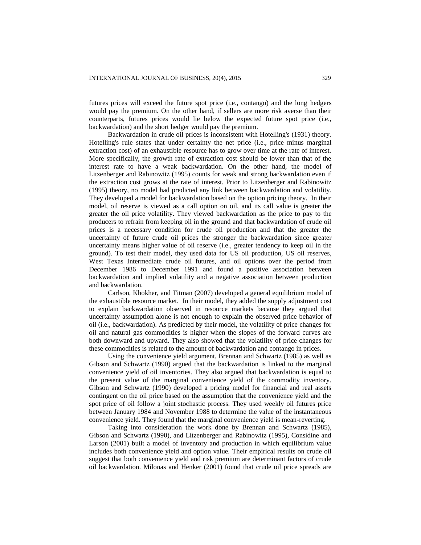futures prices will exceed the future spot price (i.e., contango) and the long hedgers would pay the premium. On the other hand, if sellers are more risk averse than their counterparts, futures prices would lie below the expected future spot price (i.e., backwardation) and the short hedger would pay the premium.

Backwardation in crude oil prices is inconsistent with Hotelling's (1931) theory. Hotelling's rule states that under certainty the net price (i.e., price minus marginal extraction cost) of an exhaustible resource has to grow over time at the rate of interest. More specifically, the growth rate of extraction cost should be lower than that of the interest rate to have a weak backwardation. On the other hand, the model of Litzenberger and Rabinowitz (1995) counts for weak and strong backwardation even if the extraction cost grows at the rate of interest. Prior to Litzenberger and Rabinowitz (1995) theory, no model had predicted any link between backwardation and volatility. They developed a model for backwardation based on the option pricing theory. In their model, oil reserve is viewed as a call option on oil, and its call value is greater the greater the oil price volatility. They viewed backwardation as the price to pay to the producers to refrain from keeping oil in the ground and that backwardation of crude oil prices is a necessary condition for crude oil production and that the greater the uncertainty of future crude oil prices the stronger the backwardation since greater uncertainty means higher value of oil reserve (i.e., greater tendency to keep oil in the ground). To test their model, they used data for US oil production, US oil reserves, West Texas Intermediate crude oil futures, and oil options over the period from December 1986 to December 1991 and found a positive association between backwardation and implied volatility and a negative association between production and backwardation.

Carlson, Khokher, and Titman (2007) developed a general equilibrium model of the exhaustible resource market. In their model, they added the supply adjustment cost to explain backwardation observed in resource markets because they argued that uncertainty assumption alone is not enough to explain the observed price behavior of oil (i.e., backwardation). As predicted by their model, the volatility of price changes for oil and natural gas commodities is higher when the slopes of the forward curves are both downward and upward. They also showed that the volatility of price changes for these commodities is related to the amount of backwardation and contango in prices.

Using the convenience yield argument, Brennan and Schwartz (1985) as well as Gibson and Schwartz (1990) argued that the backwardation is linked to the marginal convenience yield of oil inventories. They also argued that backwardation is equal to the present value of the marginal convenience yield of the commodity inventory. Gibson and Schwartz (1990) developed a pricing model for financial and real assets contingent on the oil price based on the assumption that the convenience yield and the spot price of oil follow a joint stochastic process. They used weekly oil futures price between January 1984 and November 1988 to determine the value of the instantaneous convenience yield. They found that the marginal convenience yield is mean-reverting.

Taking into consideration the work done by Brennan and Schwartz (1985), Gibson and Schwartz (1990), and Litzenberger and Rabinowitz (1995), Considine and Larson (2001) built a model of inventory and production in which equilibrium value includes both convenience yield and option value. Their empirical results on crude oil suggest that both convenience yield and risk premium are determinant factors of crude oil backwardation. Milonas and Henker (2001) found that crude oil price spreads are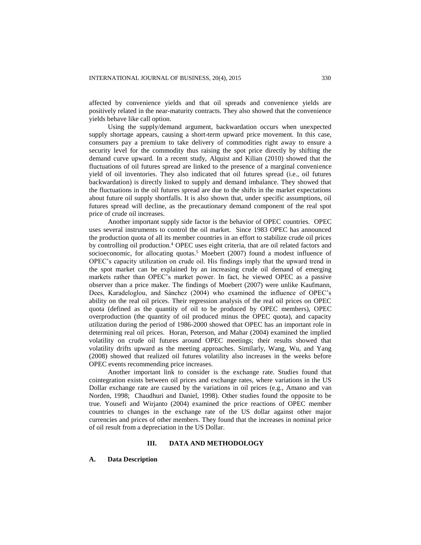affected by convenience yields and that oil spreads and convenience yields are positively related in the near-maturity contracts. They also showed that the convenience yields behave like call option.

Using the supply/demand argument, backwardation occurs when unexpected supply shortage appears, causing a short-term upward price movement. In this case, consumers pay a premium to take delivery of commodities right away to ensure a security level for the commodity thus raising the spot price directly by shifting the demand curve upward. In a recent study, Alquist and Kilian (2010) showed that the fluctuations of oil futures spread are linked to the presence of a marginal convenience yield of oil inventories. They also indicated that oil futures spread (i.e., oil futures backwardation) is directly linked to supply and demand imbalance. They showed that the fluctuations in the oil futures spread are due to the shifts in the market expectations about future oil supply shortfalls. It is also shown that, under specific assumptions, oil futures spread will decline, as the precautionary demand component of the real spot price of crude oil increases.

Another important supply side factor is the behavior of OPEC countries. OPEC uses several instruments to control the oil market. Since 1983 OPEC has announced the production quota of all its member countries in an effort to stabilize crude oil prices by controlling oil production.<sup>4</sup> OPEC uses eight criteria, that are oil related factors and socioeconomic, for allocating quotas.<sup>5</sup> Moebert (2007) found a modest influence of OPEC's capacity utilization on crude oil. His findings imply that the upward trend in the spot market can be explained by an increasing crude oil demand of emerging markets rather than OPEC's market power. In fact, he viewed OPEC as a passive observer than a price maker. The findings of Moebert (2007) were unlike Kaufmann, Dees, Karadeloglou, and Sánchez (2004) who examined the influence of OPEC's ability on the real oil prices. Their regression analysis of the real oil prices on OPEC quota (defined as the quantity of oil to be produced by OPEC members), OPEC overproduction (the quantity of oil produced minus the OPEC quota), and capacity utilization during the period of 1986-2000 showed that OPEC has an important role in determining real oil prices. Horan, Peterson, and Mahar (2004) examined the implied volatility on crude oil futures around OPEC meetings; their results showed that volatility drifts upward as the meeting approaches. Similarly, Wang, Wu, and Yang (2008) showed that realized oil futures volatility also increases in the weeks before OPEC events recommending price increases.

Another important link to consider is the exchange rate. Studies found that cointegration exists between oil prices and exchange rates, where variations in the US Dollar exchange rate are caused by the variations in oil prices (e.g., Amano and van Norden, 1998; Chaudhuri and Daniel, 1998). Other studies found the opposite to be true. Yousefi and Wirjanto (2004) examined the price reactions of OPEC member countries to changes in the exchange rate of the US dollar against other major currencies and prices of other members. They found that the increases in nominal price of oil result from a depreciation in the US Dollar.

# **III. DATA AND METHODOLOGY**

#### **A. Data Description**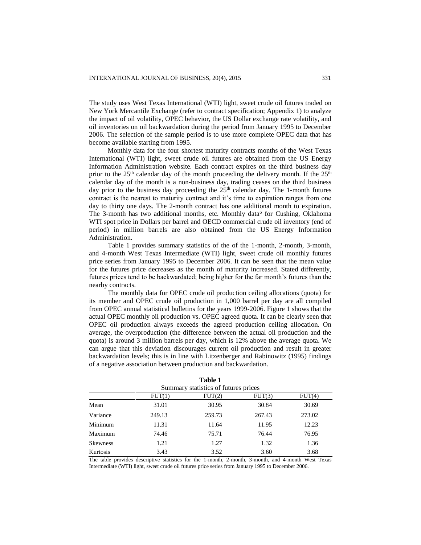The study uses West Texas International (WTI) light, sweet crude oil futures traded on New York Mercantile Exchange (refer to contract specification; Appendix 1) to analyze the impact of oil volatility, OPEC behavior, the US Dollar exchange rate volatility, and oil inventories on oil backwardation during the period from January 1995 to December 2006. The selection of the sample period is to use more complete OPEC data that has become available starting from 1995.

Monthly data for the four shortest maturity contracts months of the West Texas International (WTI) light, sweet crude oil futures are obtained from the US Energy Information Administration website. Each contract expires on the third business day prior to the  $25<sup>th</sup>$  calendar day of the month proceeding the delivery month. If the  $25<sup>th</sup>$ calendar day of the month is a non-business day, trading ceases on the third business day prior to the business day proceeding the  $25<sup>th</sup>$  calendar day. The 1-month futures contract is the nearest to maturity contract and it's time to expiration ranges from one day to thirty one days. The 2-month contract has one additional month to expiration. The 3-month has two additional months, etc. Monthly data<sup>6</sup> for Cushing, Oklahoma WTI spot price in Dollars per barrel and OECD commercial crude oil inventory (end of period) in million barrels are also obtained from the US Energy Information Administration.

Table 1 provides summary statistics of the of the 1-month, 2-month, 3-month, and 4-month West Texas Intermediate (WTI) light, sweet crude oil monthly futures price series from January 1995 to December 2006. It can be seen that the mean value for the futures price decreases as the month of maturity increased. Stated differently, futures prices tend to be backwardated; being higher for the far month's futures than the nearby contracts.

The monthly data for OPEC crude oil production ceiling allocations (quota) for its member and OPEC crude oil production in 1,000 barrel per day are all compiled from OPEC annual statistical bulletins for the years 1999-2006. Figure 1 shows that the actual OPEC monthly oil production vs. OPEC agreed quota. It can be clearly seen that OPEC oil production always exceeds the agreed production ceiling allocation. On average, the overproduction (the difference between the actual oil production and the quota) is around 3 million barrels per day, which is 12% above the average quota. We can argue that this deviation discourages current oil production and result in greater backwardation levels; this is in line with Litzenberger and Rabinowitz (1995) findings of a negative association between production and backwardation.

| Summary statistics of futures prices |        |        |        |        |  |  |  |  |
|--------------------------------------|--------|--------|--------|--------|--|--|--|--|
|                                      | FUT(1) | FUT(2) | FUT(3) | FUT(4) |  |  |  |  |
| Mean                                 | 31.01  | 30.95  | 30.84  | 30.69  |  |  |  |  |
| Variance                             | 249.13 | 259.73 | 267.43 | 273.02 |  |  |  |  |
| Minimum                              | 11.31  | 11.64  | 11.95  | 12.23  |  |  |  |  |
| Maximum                              | 74.46  | 75.71  | 76.44  | 76.95  |  |  |  |  |
| <b>Skewness</b>                      | 1.21   | 1.27   | 1.32   | 1.36   |  |  |  |  |
| Kurtosis                             | 3.43   | 3.52   | 3.60   | 3.68   |  |  |  |  |

| Table 1                             |  |
|-------------------------------------|--|
| ummary etatietics of futures prices |  |

The table provides descriptive statistics for the 1-month, 2-month, 3-month, and 4-month West Texas Intermediate (WTI) light, sweet crude oil futures price series from January 1995 to December 2006.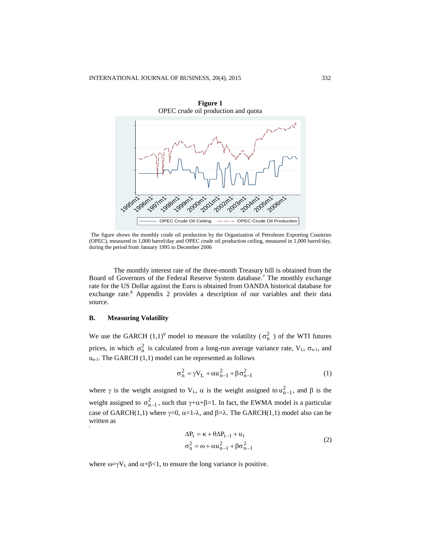

**Figure 1**

The figure shows the monthly crude oil production by the Organization of Petroleum Exporting Countries (OPEC), measured in 1,000 barrel/day and OPEC crude oil production ceiling, measured in 1,000 barrel/day, during the period from January 1995 to December 2006

The monthly interest rate of the three-month Treasury bill is obtained from the Board of Governors of the Federal Reserve System database.<sup>7</sup> The monthly exchange rate for the US Dollar against the Euro is obtained from OANDA historical database for exchange rate.<sup>8</sup> Appendix 2 provides a description of our variables and their data source.

## **B. Measuring Volatility**

We use the GARCH  $(1,1)^9$  model to measure the volatility  $(\sigma_n^2)$  of the WTI futures prices, in which  $\sigma_n^2$  is calculated from a long-run average variance rate,  $V_L$ ,  $\sigma_{n-1}$ , and  $u_{n-1}$ . The GARCH (1,1) model can be represented as follows

$$
\sigma_n^2 = \gamma V_L + \alpha u_{n-1}^2 + \beta \sigma_{n-1}^2
$$
 (1)

where  $\gamma$  is the weight assigned to  $V_L$ ,  $\alpha$  is the weight assigned to  $u_{n-1}^2$ , and  $\beta$  is the weight assigned to  $\sigma_{n-1}^2$ , such that  $\gamma+\alpha+\beta=1$ . In fact, the EWMA model is a particular case of GARCH(1,1) where  $\gamma=0$ ,  $\alpha=1-\lambda$ , and  $\beta=\lambda$ . The GARCH(1,1) model also can be written as \

$$
\Delta P_t = \kappa + \theta \Delta P_{t-1} + u_t
$$
  
\n
$$
\sigma_n^2 = \omega + \alpha u_{n-1}^2 + \beta \sigma_{n-1}^2
$$
\n(2)

where  $\omega = \gamma V_L$  and  $\alpha + \beta < 1$ , to ensure the long variance is positive.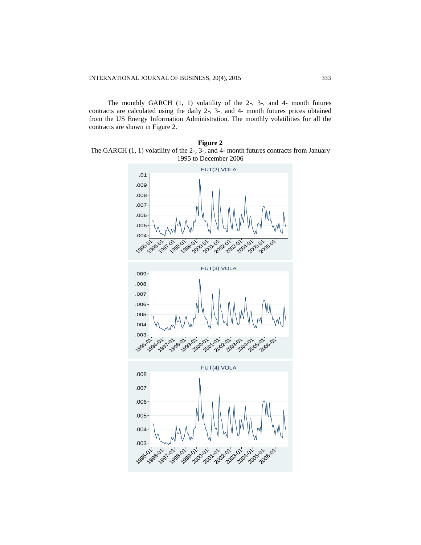The monthly GARCH (1, 1) volatility of the 2-, 3-, and 4- month futures contracts are calculated using the daily 2-, 3-, and 4- month futures prices obtained from the US Energy Information Administration. The monthly volatilities for all the contracts are shown in Figure 2.

**Figure 2** The GARCH (1, 1) volatility of the 2-, 3-, and 4- month futures contracts from January 1995 to December 2006

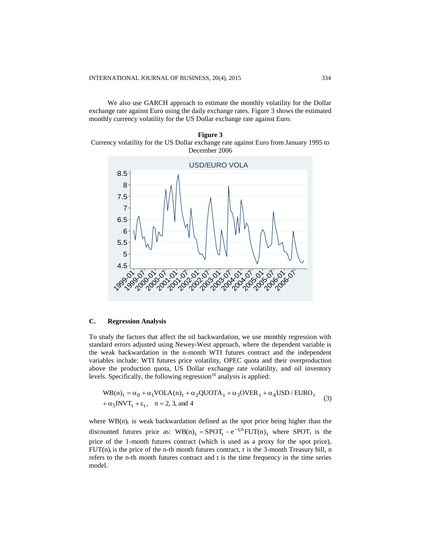We also use GARCH approach to estimate the monthly volatility for the Dollar exchange rate against Euro using the daily exchange rates. Figure 3 shows the estimated monthly currency volatility for the US Dollar exchange rate against Euro.





# **C. Regression Analysis**

To study the factors that affect the oil backwardation, we use monthly regression with standard errors adjusted using Newey-West approach, where the dependent variable is the weak backwardation in the n-month WTI futures contract and the independent variables include: WTI futures price volatility, OPEC quota and their overproduction above the production quota, US Dollar exchange rate volatility, and oil inventory levels. Specifically, the following regression $10$  analysis is applied:

$$
WB(n)_t = \alpha_0 + \alpha_1 VOLA(n)_t + \alpha_2 QUOTA_t + \alpha_3 OVER_t + \alpha_4 USD / EURO_t
$$
  
+ 
$$
\alpha_5 INVT_t + \varepsilon_t, \quad n = 2, 3, \text{ and } 4
$$
 (3)

where  $WB(n)$ <sub>t</sub> is weak backwardation defined as the spot price being higher than the discounted futures price as:  $WB(n)_t = SPOT_t - e^{-r_t n} FUT(n)_t$  where SPOT<sub>t</sub> is the price of the 1-month futures contract (which is used as a proxy for the spot price),  $FUT(n)$  is the price of the n-th month futures contract, r is the 3-month Treasury bill, n refers to the n-th month futures contract and t is the time frequency in the time series model.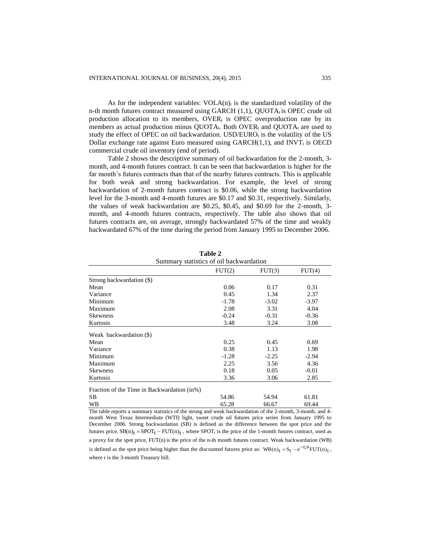As for the independent variables:  $VOLA(n)<sub>t</sub>$  is the standardized volatility of the n-th month futures contract measured using GARCH  $(1,1)$ , OUOT $A<sub>i</sub>$  is OPEC crude oil production allocation to its members, OVER<sub>t</sub> is OPEC overproduction rate by its members as actual production minus  $QUOTA_t$ . Both OVER<sub>t</sub> and QUOT $A_t$  are used to study the effect of OPEC on oil backwardation.  $USD/EURO<sub>t</sub>$  is the volatility of the US Dollar exchange rate against Euro measured using  $GARCH(1,1)$ , and  $INVT_t$  is OECD commercial crude oil inventory (end of period).

Table 2 shows the descriptive summary of oil backwardation for the 2-month, 3 month, and 4-month futures contract. It can be seen that backwardation is higher for the far month's futures contracts than that of the nearby futures contracts. This is applicable for both weak and strong backwardation. For example, the level of strong backwardation of 2-month futures contract is \$0.06, while the strong backwardation level for the 3-month and 4-month futures are \$0.17 and \$0.31, respectively. Similarly, the values of weak backwardation are \$0.25, \$0.45, and \$0.69 for the 2-month, 3 month, and 4-month futures contracts, respectively. The table also shows that oil futures contracts are, on average, strongly backwardated 57% of the time and weakly backwardated 67% of the time during the period from January 1995 to December 2006.

| Summary statistics of oil backwardation     |         |         |         |  |  |  |  |  |
|---------------------------------------------|---------|---------|---------|--|--|--|--|--|
|                                             | FUT(2)  | FUT(3)  | FUT(4)  |  |  |  |  |  |
| Strong backwardation (\$)                   |         |         |         |  |  |  |  |  |
| Mean                                        | 0.06    | 0.17    | 0.31    |  |  |  |  |  |
| Variance                                    | 0.45    | 1.34    | 2.37    |  |  |  |  |  |
| Minimum                                     | $-1.78$ | $-3.02$ | $-3.97$ |  |  |  |  |  |
| Maximum                                     | 2.08    | 3.31    | 4.04    |  |  |  |  |  |
| <b>Skewness</b>                             | $-0.24$ | $-0.31$ | $-0.36$ |  |  |  |  |  |
| Kurtosis                                    | 3.48    | 3.24    | 3.08    |  |  |  |  |  |
| Weak backwardation (\$)                     |         |         |         |  |  |  |  |  |
| Mean                                        | 0.25    | 0.45    | 0.69    |  |  |  |  |  |
| Variance                                    | 0.38    | 1.13    | 1.98    |  |  |  |  |  |
| Minimum                                     | $-1.28$ | $-2.25$ | $-2.94$ |  |  |  |  |  |
| Maximum                                     | 2.25    | 3.56    | 4.36    |  |  |  |  |  |
| <b>Skewness</b>                             | 0.18    | 0.05    | $-0.01$ |  |  |  |  |  |
| Kurtosis                                    | 3.36    | 3.06    | 2.85    |  |  |  |  |  |
| Fraction of the Time in Backwardation (in%) |         |         |         |  |  |  |  |  |
| SВ                                          | 54.86   | 54.94   | 61.81   |  |  |  |  |  |
| WВ                                          | 65.28   | 66.67   | 69.44   |  |  |  |  |  |

**Table 2**

The table reports a summary statistics of the strong and weak backwardation of the 2-month, 3-month, and 4 month West Texas Intermediate (WTI) light, sweet crude oil futures price series from January 1995 to December 2006. Strong backwardation (SB) is defined as the difference between the spot price and the futures price,  $SB(n)_t = SPOT_t - FUT(n)_t$ , where SPOT<sub>t</sub> is the price of the 1-month futures contract, used as a proxy for the spot price, FUT(n) is the price of the n-th month futures contract. Weak backwardation (WB) is defined as the spot price being higher than the discounted futures price as:  $WB(n)_t = S_t - e^{-T_t n} FUT(n)_t$ , where r is the 3-month Treasury bill.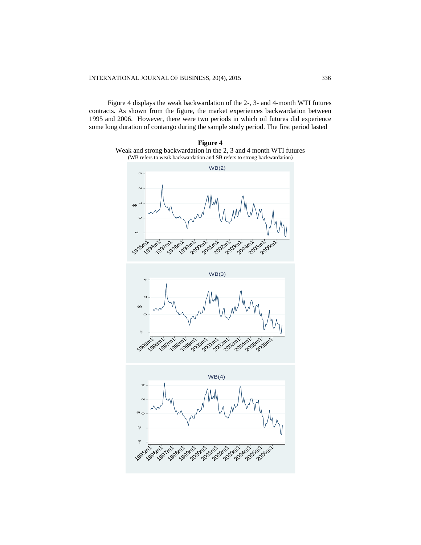Figure 4 displays the weak backwardation of the 2-, 3- and 4-month WTI futures contracts. As shown from the figure, the market experiences backwardation between 1995 and 2006. However, there were two periods in which oil futures did experience some long duration of contango during the sample study period. The first period lasted



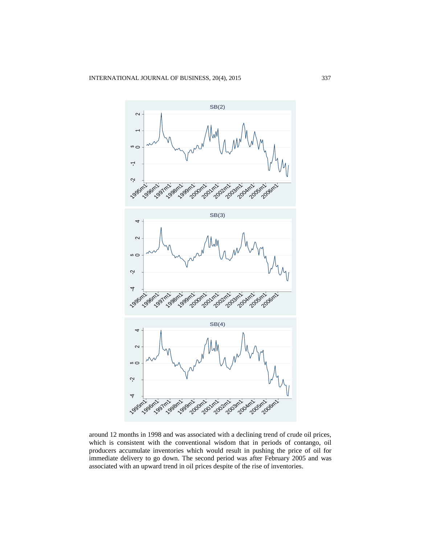

around 12 months in 1998 and was associated with a declining trend of crude oil prices, which is consistent with the conventional wisdom that in periods of contango, oil producers accumulate inventories which would result in pushing the price of oil for immediate delivery to go down. The second period was after February 2005 and was associated with an upward trend in oil prices despite of the rise of inventories.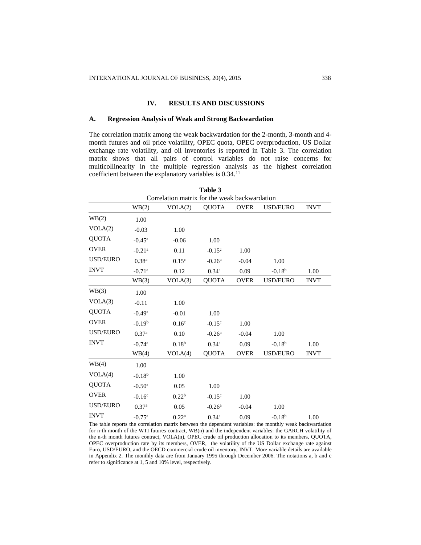## **IV. RESULTS AND DISCUSSIONS**

#### **A. Regression Analysis of Weak and Strong Backwardation**

The correlation matrix among the weak backwardation for the 2-month, 3-month and 4 month futures and oil price volatility, OPEC quota, OPEC overproduction, US Dollar exchange rate volatility, and oil inventories is reported in Table 3. The correlation matrix shows that all pairs of control variables do not raise concerns for multicollinearity in the multiple regression analysis as the highest correlation coefficient between the explanatory variables is 0.34.<sup>11</sup>

| Table 3                                       |                      |                   |                   |             |                 |             |  |  |  |
|-----------------------------------------------|----------------------|-------------------|-------------------|-------------|-----------------|-------------|--|--|--|
| Correlation matrix for the weak backwardation |                      |                   |                   |             |                 |             |  |  |  |
|                                               | WB(2)                | VOLA(2)           | <b>QUOTA</b>      | <b>OVER</b> | <b>USD/EURO</b> | <b>INVT</b> |  |  |  |
| WB(2)                                         | 1.00                 |                   |                   |             |                 |             |  |  |  |
| VOLA(2)                                       | $-0.03$              | 1.00              |                   |             |                 |             |  |  |  |
| <b>QUOTA</b>                                  | $-0.45^{\rm a}$      | $-0.06$           | 1.00              |             |                 |             |  |  |  |
| <b>OVER</b>                                   | $-0.21$ <sup>a</sup> | 0.11              | $-0.15^{\circ}$   | 1.00        |                 |             |  |  |  |
| <b>USD/EURO</b>                               | 0.38 <sup>a</sup>    | 0.15 <sup>c</sup> | $-0.26a$          | $-0.04$     | 1.00            |             |  |  |  |
| <b>INVT</b>                                   | $-0.71$ <sup>a</sup> | 0.12              | $0.34^{a}$        | 0.09        | $-0.18^{b}$     | 1.00        |  |  |  |
|                                               | WB(3)                | VOLA(3)           | <b>QUOTA</b>      | <b>OVER</b> | <b>USD/EURO</b> | <b>INVT</b> |  |  |  |
| WB(3)                                         | 1.00                 |                   |                   |             |                 |             |  |  |  |
| VOLA(3)                                       | $-0.11$              | 1.00              |                   |             |                 |             |  |  |  |
| <b>QUOTA</b>                                  | $-0.49$ <sup>a</sup> | $-0.01$           | 1.00              |             |                 |             |  |  |  |
| <b>OVER</b>                                   | $-0.19b$             | 0.16 <sup>c</sup> | $-0.15^{\circ}$   | 1.00        |                 |             |  |  |  |
| <b>USD/EURO</b>                               | 0.37 <sup>a</sup>    | 0.10              | $-0.26a$          | $-0.04$     | 1.00            |             |  |  |  |
| <b>INVT</b>                                   | $-0.74$ <sup>a</sup> | 0.18 <sup>b</sup> | $0.34^{a}$        | 0.09        | $-0.18b$        | 1.00        |  |  |  |
|                                               | WB(4)                | VOLA(4)           | <b>QUOTA</b>      | <b>OVER</b> | USD/EURO        | <b>INVT</b> |  |  |  |
| WB(4)                                         | 1.00                 |                   |                   |             |                 |             |  |  |  |
| VOLA(4)                                       | $-0.18b$             | 1.00              |                   |             |                 |             |  |  |  |
| <b>OUOTA</b>                                  | $-0.50$ <sup>a</sup> | 0.05              | 1.00              |             |                 |             |  |  |  |
| <b>OVER</b>                                   | $-0.16c$             | 0.22 <sup>b</sup> | $-0.15^{\circ}$   | 1.00        |                 |             |  |  |  |
| <b>USD/EURO</b>                               | 0.37 <sup>a</sup>    | 0.05              | $-0.26a$          | $-0.04$     | 1.00            |             |  |  |  |
| <b>INVT</b>                                   | $-0.75$ <sup>a</sup> | $0.22^{\rm a}$    | 0.34 <sup>a</sup> | 0.09        | $-0.18^{b}$     | 1.00        |  |  |  |

The table reports the correlation matrix between the dependent variables: the monthly weak backwardation for n-th month of the WTI futures contract, WB(n) and the independent variables: the GARCH volatility of the n-th month futures contract, VOLA(n), OPEC crude oil production allocation to its members, QUOTA, OPEC overproduction rate by its members, OVER, the volatility of the US Dollar exchange rate against Euro, USD/EURO, and the OECD commercial crude oil inventory, INVT. More variable details are available in Appendix 2. The monthly data are from January 1995 through December 2006. The notations a, b and c refer to significance at 1, 5 and 10% level, respectively.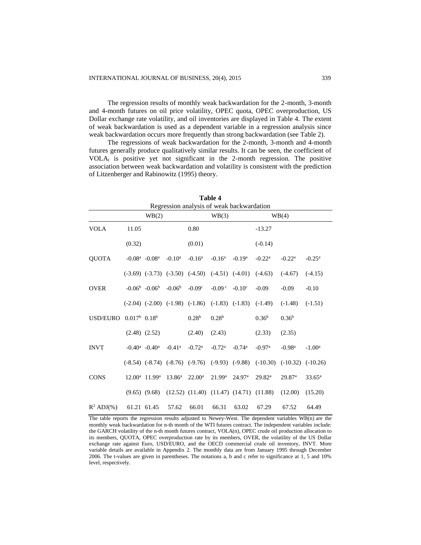The regression results of monthly weak backwardation for the 2-month, 3-month and 4-month futures on oil price volatility, OPEC quota, OPEC overproduction, US Dollar exchange rate volatility, and oil inventories are displayed in Table 4. The extent of weak backwardation is used as a dependent variable in a regression analysis since weak backwardation occurs more frequently than strong backwardation (see Table 2).

The regressions of weak backwardation for the 2-month, 3-month and 4-month futures generally produce qualitatively similar results. It can be seen, the coefficient of VOLA<sup>t</sup> is positive yet not significant in the 2-month regression. The positive association between weak backwardation and volatility is consistent with the prediction of Litzenberger and Rabinowitz (1995) theory.

| <b>Table 4</b>                                     |                             |                                 |                      |                                                             |                      |                                                   |                                  |                    |                 |
|----------------------------------------------------|-----------------------------|---------------------------------|----------------------|-------------------------------------------------------------|----------------------|---------------------------------------------------|----------------------------------|--------------------|-----------------|
| Regression analysis of weak backwardation<br>WB(4) |                             |                                 |                      |                                                             |                      |                                                   |                                  |                    |                 |
|                                                    |                             | WB(2)                           |                      |                                                             | WB(3)                |                                                   |                                  |                    |                 |
| <b>VOLA</b>                                        | 11.05                       |                                 |                      | 0.80                                                        |                      |                                                   | $-13.27$                         |                    |                 |
|                                                    | (0.32)                      |                                 |                      | (0.01)                                                      |                      |                                                   | $(-0.14)$                        |                    |                 |
| <b>QUOTA</b>                                       |                             | $-0.08^a$ $-0.08^a$             | $-0.10^a$            | $-0.16^{\rm a}$                                             | $-0.16^{\rm a}$      | $-0.19a$                                          | $-0.22^{\rm a}$                  | $-0.22^{\rm a}$    | $-0.25^{\rm a}$ |
|                                                    |                             |                                 |                      | $(-3.69)$ $(-3.73)$ $(-3.50)$ $(-4.50)$ $(-4.51)$ $(-4.01)$ |                      |                                                   | $(-4.63)$                        | $(-4.67)$          | $(-4.15)$       |
| <b>OVER</b>                                        |                             | $-0.06^{\rm b}$ $-0.06^{\rm b}$ | $-0.06b$             | $-0.09c$                                                    | $-0.09c$             | $-0.10^{\circ}$                                   | $-0.09$                          | $-0.09$            | $-0.10$         |
|                                                    |                             |                                 |                      | $(-2.04)$ $(-2.00)$ $(-1.98)$ $(-1.86)$ $(-1.83)$ $(-1.83)$ |                      |                                                   | $(-1.49)$                        | $(-1.48)$          | $(-1.51)$       |
| <b>USD/EURO</b>                                    | $0.017^b$ 0.18 <sup>b</sup> |                                 |                      | 0.28 <sup>b</sup>                                           | 0.28 <sup>b</sup>    |                                                   | 0.36 <sup>b</sup>                | 0.36 <sup>b</sup>  |                 |
|                                                    |                             | $(2.48)$ $(2.52)$               |                      | (2.40)                                                      | (2.43)               |                                                   | (2.33)                           | (2.35)             |                 |
| <b>INVT</b>                                        |                             | $-0.40^a$ $-0.40^a$             | $-0.41$ <sup>a</sup> | $-0.72$ <sup>a</sup>                                        | $-0.72$ <sup>a</sup> | $-0.74$ <sup>a</sup>                              | $-0.97$ <sup>a</sup>             | $-0.98a$           | $-1.00a$        |
|                                                    |                             |                                 |                      | $(-8.54)$ $(-8.74)$ $(-8.76)$ $(-9.76)$ $(-9.93)$ $(-9.88)$ |                      |                                                   | $(-10.30)$ $(-10.32)$ $(-10.26)$ |                    |                 |
| <b>CONS</b>                                        |                             | $12.00^a$ 11.99 <sup>a</sup>    | $13.86^{\rm a}$      | $22.00^{\rm a}$                                             | $21.99^{\rm a}$      | 24.97 <sup>a</sup>                                | 29.82 <sup>a</sup>               | 29.87 <sup>a</sup> | $33.65^{\rm a}$ |
|                                                    |                             | $(9.65)$ $(9.68)$               |                      |                                                             |                      | $(12.52)$ $(11.40)$ $(11.47)$ $(14.71)$ $(11.88)$ |                                  | (12.00)            | (15.20)         |
| $R^2$ ADJ $(\%)$                                   |                             | 61.21 61.45                     | 57.62                | 66.01                                                       | 66.31                | 63.02                                             | 67.29                            | 67.52              | 64.49           |

The table reports the regression results adjusted to Newey-West. The dependent variables WB(n) are the monthly weak backwardation for n-th month of the WTI futures contract. The independent variables include: the GARCH volatility of the n-th month futures contract, VOLA(n), OPEC crude oil production allocation to its members, QUOTA, OPEC overproduction rate by its members, OVER, the volatility of the US Dollar exchange rate against Euro, USD/EURO, and the OECD commercial crude oil inventory, INVT. More variable details are available in Appendix 2. The monthly data are from January 1995 through December 2006. The t-values are given in parentheses. The notations a, b and c refer to significance at 1, 5 and 10% level, respectively.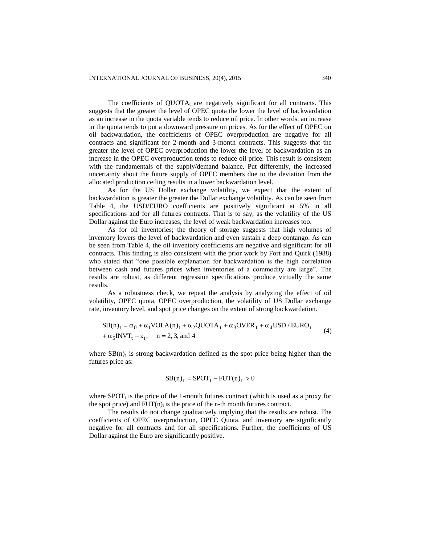The coefficients of  $QUOTA_t$  are negatively significant for all contracts. This suggests that the greater the level of OPEC quota the lower the level of backwardation as an increase in the quota variable tends to reduce oil price. In other words, an increase in the quota tends to put a downward pressure on prices. As for the effect of OPEC on oil backwardation, the coefficients of OPEC overproduction are negative for all contracts and significant for 2-month and 3-month contracts. This suggests that the greater the level of OPEC overproduction the lower the level of backwardation as an increase in the OPEC overproduction tends to reduce oil price. This result is consistent with the fundamentals of the supply/demand balance. Put differently, the increased uncertainty about the future supply of OPEC members due to the deviation from the allocated production ceiling results in a lower backwardation level.

As for the US Dollar exchange volatility, we expect that the extent of backwardation is greater the greater the Dollar exchange volatility. As can be seen from Table 4, the USD/EURO coefficients are positively significant at 5% in all specifications and for all futures contracts. That is to say, as the volatility of the US Dollar against the Euro increases, the level of weak backwardation increases too.

As for oil inventories; the theory of storage suggests that high volumes of inventory lowers the level of backwardation and even sustain a deep contango. As can be seen from Table 4, the oil inventory coefficients are negative and significant for all contracts. This finding is also consistent with the prior work by Fort and Quirk (1988) who stated that "one possible explanation for backwardation is the high correlation between cash and futures prices when inventories of a commodity are large". The results are robust, as different regression specifications produce virtually the same results.

As a robustness check, we repeat the analysis by analyzing the effect of oil volatility, OPEC quota, OPEC overproduction, the volatility of US Dollar exchange rate, inventory level, and spot price changes on the extent of strong backwardation.

$$
SB(n)_t = \alpha_0 + \alpha_1 VOLA(n)_t + \alpha_2 QUOTA_t + \alpha_3 OVER_t + \alpha_4 USD / EURO_t
$$
  
+  $\alpha_5 INVT_t + \varepsilon_t$ , n = 2, 3, and 4 (4)

where  $SB(n)$ <sub>t</sub> is strong backwardation defined as the spot price being higher than the futures price as:

$$
SB(n)t = SPOTt - FUT(n)t > 0
$$

where  $SPOT<sub>t</sub>$  is the price of the 1-month futures contract (which is used as a proxy for the spot price) and  $FUT(n)<sub>t</sub>$  is the price of the n-th month futures contract.

The results do not change qualitatively implying that the results are robust. The coefficients of OPEC overproduction, OPEC Quota, and inventory are significantly negative for all contracts and for all specifications. Further, the coefficients of US Dollar against the Euro are significantly positive.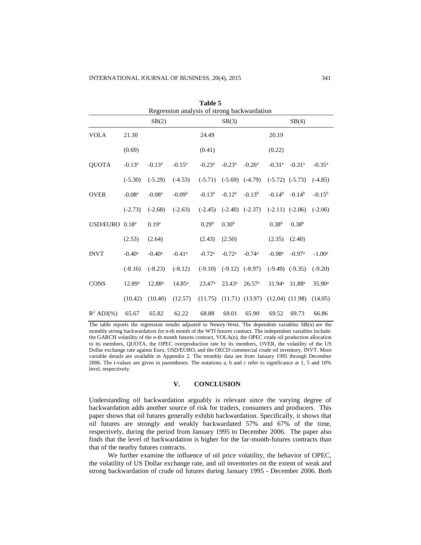| Table 5<br>Regression analysis of strong backwardation |                      |                      |                      |                      |                      |                      |                      |                     |                 |
|--------------------------------------------------------|----------------------|----------------------|----------------------|----------------------|----------------------|----------------------|----------------------|---------------------|-----------------|
| SB(2)<br>SB(3)<br>SB(4)                                |                      |                      |                      |                      |                      |                      |                      |                     |                 |
| <b>VOLA</b>                                            | 21.30                |                      |                      | 24.49                |                      |                      | 20.19                |                     |                 |
|                                                        | (0.69)               |                      |                      | (0.41)               |                      |                      | (0.22)               |                     |                 |
| <b>QUOTA</b>                                           | $-0.13^{\rm a}$      | $-0.13^a$            | $-0.15^{\rm a}$      | $-0.23^{\rm a}$      | $-0.23^{\rm a}$      | $-0.26a$             | $-0.31$ <sup>a</sup> | $-0.31a$            | $-0.35^{\rm a}$ |
|                                                        | $(-5.30)$            | $(-5.29)$            | $(-4.53)$            | $(-5.71)$            | $(-5.69)$            | $(-4.79)$            |                      | $(-5.72)$ $(-5.73)$ | $(-4.85)$       |
| <b>OVER</b>                                            | $-0.08a$             | $-0.08a$             | $-0.09b$             | $-0.13b$             | $-0.12b$             | $-0.13b$             | $-0.14b$             | $-0.14b$            | $-0.15^{b}$     |
|                                                        | $(-2.73)$            | $(-2.68)$            | $(-2.63)$            | $(-2.45)$            | $(-2.40)$            | $(-2.37)$            |                      | $(-2.11)$ $(-2.06)$ | $(-2.06)$       |
| USD/EURO $0.18a$                                       |                      | 0.19 <sup>a</sup>    |                      | 0.29 <sup>b</sup>    | 0.30 <sup>b</sup>    |                      | 0.38 <sup>b</sup>    | 0.38 <sup>b</sup>   |                 |
|                                                        | (2.53)               | (2.64)               |                      | (2.43)               | (2.50)               |                      | (2.35)               | (2.40)              |                 |
| <b>INVT</b>                                            | $-0.40$ <sup>a</sup> | $-0.40$ <sup>a</sup> | $-0.41$ <sup>a</sup> | $-0.72$ <sup>a</sup> | $-0.72$ <sup>a</sup> | $-0.74$ <sup>a</sup> | $-0.98$ <sup>a</sup> | $-0.97a$            | $-1.00^a$       |
|                                                        | $(-8.16)$            | $(-8.23)$            | $(-8.12)$            | $(-9.10)$            | $(-9.12)$            | $(-8.97)$            |                      | $(-9.49)$ $(-9.35)$ | $(-9.20)$       |
| <b>CONS</b>                                            | 12.89 <sup>a</sup>   | 12.88 <sup>a</sup>   | $14.85^{\rm a}$      | 23.47 <sup>a</sup>   | $23.43^a$            | 26.57 <sup>a</sup>   | $31.94^{\rm a}$      | 31.88 <sup>a</sup>  | $35.90^{\rm a}$ |
|                                                        | (10.42)              | (10.40)              | (12.57)              | (11.75)              |                      | $(11.71)$ $(13.97)$  |                      | $(12.04)$ $(11.98)$ | (14.05)         |
| $R^2$ ADJ $(\%)$                                       | 65.67                | 65.82                | 62.22                | 68.88                | 69.01                | 65.90                | 69.52                | 69.73               | 66.86           |

The table reports the regression results adjusted to Newey-West. The dependent variables SB(n) are the monthly strong backwardation for n-th month of the WTI futures contract. The independent variables include: the GARCH volatility of the n-th month futures contract, VOLA(n), the OPEC crude oil production allocation to its members, QUOTA, the OPEC overproduction rate by its members, OVER, the volatility of the US Dollar exchange rate against Euro, USD/EURO, and the OECD commercial crude oil inventory, INVT. More variable details are available in Appendix 2. The monthly data are from January 1995 through December 2006. The t-values are given in parentheses. The notations a, b and c refer to significance at 1, 5 and 10% level, respectively.

## **V. CONCLUSION**

Understanding oil backwardation arguably is relevant since the varying degree of backwardation adds another source of risk for traders, consumers and producers. This paper shows that oil futures generally exhibit backwardation. Specifically, it shows that oil futures are strongly and weakly backwardated 57% and 67% of the time, respectively, during the period from January 1995 to December 2006. The paper also finds that the level of backwardation is higher for the far-month-futures contracts than that of the nearby futures contracts.

We further examine the influence of oil price volatility, the behavior of OPEC, the volatility of US Dollar exchange rate, and oil inventories on the extent of weak and strong backwardation of crude oil futures during January 1995 - December 2006. Both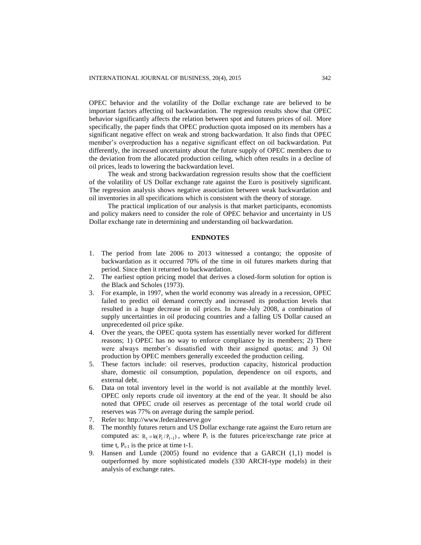OPEC behavior and the volatility of the Dollar exchange rate are believed to be important factors affecting oil backwardation. The regression results show that OPEC behavior significantly affects the relation between spot and futures prices of oil. More specifically, the paper finds that OPEC production quota imposed on its members has a significant negative effect on weak and strong backwardation. It also finds that OPEC member's overproduction has a negative significant effect on oil backwardation. Put differently, the increased uncertainty about the future supply of OPEC members due to the deviation from the allocated production ceiling, which often results in a decline of oil prices, leads to lowering the backwardation level.

The weak and strong backwardation regression results show that the coefficient of the volatility of US Dollar exchange rate against the Euro is positively significant. The regression analysis shows negative association between weak backwardation and oil inventories in all specifications which is consistent with the theory of storage.

The practical implication of our analysis is that market participants, economists and policy makers need to consider the role of OPEC behavior and uncertainty in US Dollar exchange rate in determining and understanding oil backwardation.

#### **ENDNOTES**

- 1. The period from late 2006 to 2013 witnessed a contango; the opposite of backwardation as it occurred 70% of the time in oil futures markets during that period. Since then it returned to backwardation.
- 2. The earliest option pricing model that derives a closed-form solution for option is the Black and Scholes (1973).
- 3. For example, in 1997, when the world economy was already in a recession, OPEC failed to predict oil demand correctly and increased its production levels that resulted in a huge decrease in oil prices. In June-July 2008, a combination of supply uncertainties in oil producing countries and a falling US Dollar caused an unprecedented oil price spike.
- 4. Over the years, the OPEC quota system has essentially never worked for different reasons; 1) OPEC has no way to enforce compliance by its members; 2) There were always member's dissatisfied with their assigned quotas; and 3) Oil production by OPEC members generally exceeded the production ceiling.
- 5. These factors include: oil reserves, production capacity, historical production share, domestic oil consumption, population, dependence on oil exports, and external debt.
- 6. Data on total inventory level in the world is not available at the monthly level. OPEC only reports crude oil inventory at the end of the year. It should be also noted that OPEC crude oil reserves as percentage of the total world crude oil reserves was 77% on average during the sample period.
- 7. Refer to: [http://www.federalreserve.gov](http://www.federalreserve.gov/)
- 8. The monthly futures return and US Dollar exchange rate against the Euro return are computed as:  $R_t = ln(P_t / P_{t-1})$ , where  $P_t$  is the futures price/exchange rate price at time t,  $P_{t-1}$  is the price at time t-1.
- 9. Hansen and Lunde (2005) found no evidence that a GARCH (1,1) model is outperformed by more sophisticated models (330 ARCH-type models) in their analysis of exchange rates.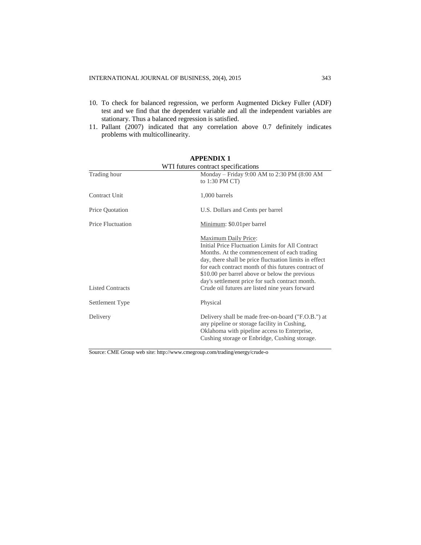- 10. To check for balanced regression, we perform Augmented Dickey Fuller (ADF) test and we find that the dependent variable and all the independent variables are stationary. Thus a balanced regression is satisfied.
- 11. Pallant (2007) indicated that any correlation above 0.7 definitely indicates problems with multicollinearity.

|                          | WTI futures contract specifications                                                                                                                                                                                                                                                                                                                                                               |
|--------------------------|---------------------------------------------------------------------------------------------------------------------------------------------------------------------------------------------------------------------------------------------------------------------------------------------------------------------------------------------------------------------------------------------------|
| Trading hour             | Monday – Friday 9:00 AM to 2:30 PM $(8:00 \text{ AM})$<br>to $1:30$ PM CT)                                                                                                                                                                                                                                                                                                                        |
| Contract Unit            | 1,000 barrels                                                                                                                                                                                                                                                                                                                                                                                     |
| Price Quotation          | U.S. Dollars and Cents per barrel                                                                                                                                                                                                                                                                                                                                                                 |
| <b>Price Fluctuation</b> | Minimum: \$0.01 per barrel                                                                                                                                                                                                                                                                                                                                                                        |
| <b>Listed Contracts</b>  | Maximum Daily Price:<br>Initial Price Fluctuation Limits for All Contract<br>Months. At the commencement of each trading<br>day, there shall be price fluctuation limits in effect<br>for each contract month of this futures contract of<br>\$10.00 per barrel above or below the previous<br>day's settlement price for such contract month.<br>Crude oil futures are listed nine years forward |
| Settlement Type          | Physical                                                                                                                                                                                                                                                                                                                                                                                          |
| Delivery                 | Delivery shall be made free-on-board ("F.O.B.") at<br>any pipeline or storage facility in Cushing,<br>Oklahoma with pipeline access to Enterprise,<br>Cushing storage or Enbridge, Cushing storage.                                                                                                                                                                                               |

# **APPENDIX 1**

Source: CME Group web site: http://www.cmegroup.com/trading/energy/crude-o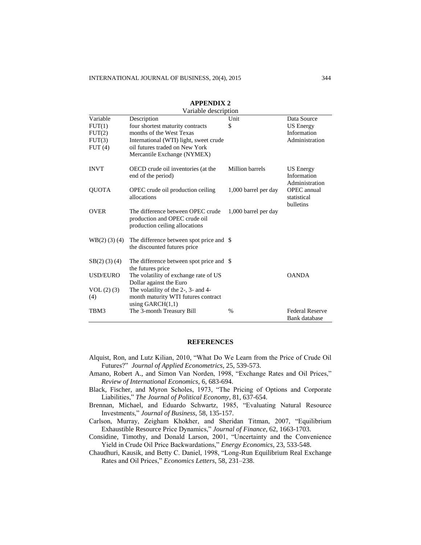|                   | Variable description                                                       |                      |                          |  |  |  |  |  |
|-------------------|----------------------------------------------------------------------------|----------------------|--------------------------|--|--|--|--|--|
| Variable          | Description                                                                | Unit                 | Data Source              |  |  |  |  |  |
| FUT(1)            | four shortest maturity contracts                                           | \$                   | <b>US</b> Energy         |  |  |  |  |  |
| FUT(2)            | months of the West Texas                                                   |                      | Information              |  |  |  |  |  |
| FUT(3)            | International (WTI) light, sweet crude                                     |                      | Administration           |  |  |  |  |  |
| FUT(4)            | oil futures traded on New York                                             |                      |                          |  |  |  |  |  |
|                   | Mercantile Exchange (NYMEX)                                                |                      |                          |  |  |  |  |  |
| <b>INVT</b>       | OECD crude oil inventories (at the                                         | Million barrels      | US Energy                |  |  |  |  |  |
|                   | end of the period)                                                         |                      | Information              |  |  |  |  |  |
|                   |                                                                            |                      | Administration           |  |  |  |  |  |
| <b>QUOTA</b>      | OPEC crude oil production ceiling                                          | 1,000 barrel per day | OPEC annual              |  |  |  |  |  |
|                   | allocations                                                                |                      | statistical<br>bulletins |  |  |  |  |  |
| <b>OVER</b>       | The difference between OPEC crude                                          | 1,000 barrel per day |                          |  |  |  |  |  |
|                   | production and OPEC crude oil                                              |                      |                          |  |  |  |  |  |
|                   | production ceiling allocations                                             |                      |                          |  |  |  |  |  |
| $WB(2)$ (3) (4)   | The difference between spot price and \\$                                  |                      |                          |  |  |  |  |  |
|                   | the discounted futures price                                               |                      |                          |  |  |  |  |  |
|                   |                                                                            |                      |                          |  |  |  |  |  |
| $SB(2)$ (3) (4)   | The difference between spot price and \\$                                  |                      |                          |  |  |  |  |  |
|                   | the futures price                                                          |                      |                          |  |  |  |  |  |
| <b>USD/EURO</b>   | The volatility of exchange rate of US                                      |                      | <b>OANDA</b>             |  |  |  |  |  |
|                   | Dollar against the Euro                                                    |                      |                          |  |  |  |  |  |
| VOL(2) (3)<br>(4) | The volatility of the 2-, 3- and 4-<br>month maturity WTI futures contract |                      |                          |  |  |  |  |  |
|                   | using $GARCH(1,1)$                                                         |                      |                          |  |  |  |  |  |
| TBM3              | The 3-month Treasury Bill                                                  | $\%$                 | <b>Federal Reserve</b>   |  |  |  |  |  |
|                   |                                                                            |                      | Bank database            |  |  |  |  |  |

# **APPENDIX 2**

## **REFERENCES**

- Alquist, Ron, and Lutz Kilian, 2010, "What Do We Learn from the Price of Crude Oil Futures?" *Journal of Applied Econometrics*, 25, 539-573.
- Amano, Robert A., and Simon Van Norden, 1998, "Exchange Rates and Oil Prices," *Review of International Economics*, 6, 683-694.
- Black, Fischer, and Myron Scholes, 1973, "The Pricing of Options and Corporate Liabilities," *The Journal of Political Economy*, 81, 637-654.
- Brennan, Michael, and Eduardo Schwartz, 1985, "Evaluating Natural Resource Investments," *Journal of Business,* 58, 135-157.
- Carlson, Murray, Zeigham Khokher, and Sheridan Titman, 2007, "Equilibrium Exhaustible Resource Price Dynamics," *Journal of Finance*, 62, 1663-1703.
- Considine, Timothy, and Donald Larson, 2001, "Uncertainty and the Convenience Yield in Crude Oil Price Backwardations," *Energy Economics*, 23, 533-548.
- Chaudhuri, Kausik, and Betty C. Daniel, 1998, "Long-Run Equilibrium Real Exchange Rates and Oil Prices," *Economics Letters*, 58, 231–238.